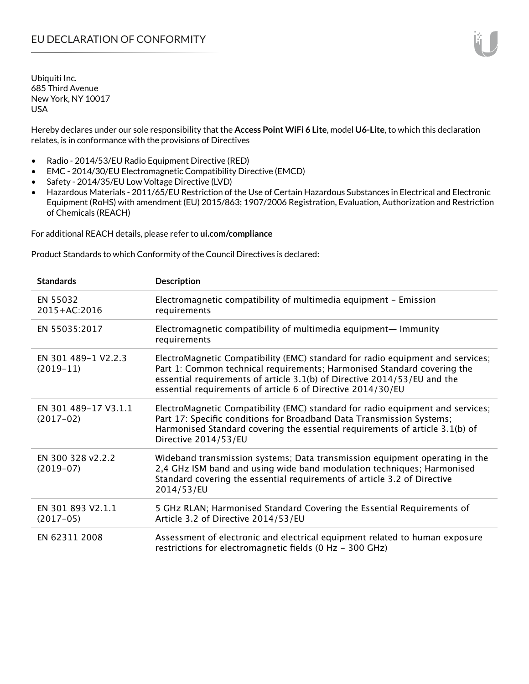Hereby declares under our sole responsibility that the **Access Point WiFi 6 Lite**, model **U6-Lite**, to which this declaration relates, is in conformance with the provisions of Directives

- Radio 2014/53/EU Radio Equipment Directive (RED)
- EMC 2014/30/EU Electromagnetic Compatibility Directive (EMCD)
- Safety 2014/35/EU Low Voltage Directive (LVD)
- Hazardous Materials 2011/65/EU Restriction of the Use of Certain Hazardous Substances in Electrical and Electronic Equipment (RoHS) with amendment (EU) 2015/863; 1907/2006 Registration, Evaluation, Authorization and Restriction of Chemicals (REACH)

For additional REACH details, please refer to **ui.com/compliance**

Product Standards to which Conformity of the Council Directives is declared:

| <b>Standards</b>                    | <b>Description</b>                                                                                                                                                                                                                                                                                   |
|-------------------------------------|------------------------------------------------------------------------------------------------------------------------------------------------------------------------------------------------------------------------------------------------------------------------------------------------------|
| EN 55032<br>2015+AC:2016            | Electromagnetic compatibility of multimedia equipment - Emission<br>requirements                                                                                                                                                                                                                     |
| EN 55035:2017                       | Electromagnetic compatibility of multimedia equipment- Immunity<br>requirements                                                                                                                                                                                                                      |
| EN 301 489-1 V2.2.3<br>$(2019-11)$  | ElectroMagnetic Compatibility (EMC) standard for radio equipment and services;<br>Part 1: Common technical requirements; Harmonised Standard covering the<br>essential requirements of article 3.1(b) of Directive 2014/53/EU and the<br>essential requirements of article 6 of Directive 2014/30/EU |
| EN 301 489-17 V3.1.1<br>$(2017-02)$ | ElectroMagnetic Compatibility (EMC) standard for radio equipment and services;<br>Part 17: Specific conditions for Broadband Data Transmission Systems;<br>Harmonised Standard covering the essential requirements of article 3.1(b) of<br>Directive 2014/53/EU                                      |
| EN 300 328 v2.2.2<br>$(2019-07)$    | Wideband transmission systems; Data transmission equipment operating in the<br>2,4 GHz ISM band and using wide band modulation techniques; Harmonised<br>Standard covering the essential requirements of article 3.2 of Directive<br>2014/53/EU                                                      |
| EN 301 893 V2.1.1<br>$(2017-05)$    | 5 GHz RLAN; Harmonised Standard Covering the Essential Requirements of<br>Article 3.2 of Directive 2014/53/EU                                                                                                                                                                                        |
| EN 62311 2008                       | Assessment of electronic and electrical equipment related to human exposure<br>restrictions for electromagnetic fields (0 Hz - 300 GHz)                                                                                                                                                              |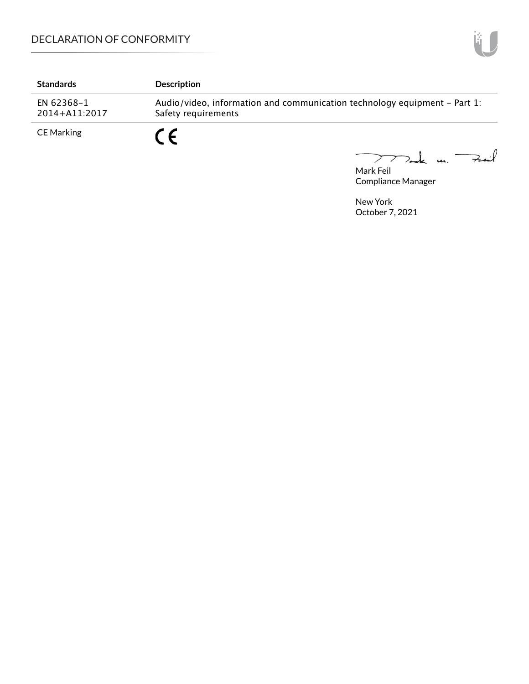| <b>Standards</b>            | <b>Description</b>                                                                               |
|-----------------------------|--------------------------------------------------------------------------------------------------|
| EN 62368-1<br>2014+A11:2017 | Audio/video, information and communication technology equipment – Part 1:<br>Safety requirements |
| CE Marking                  |                                                                                                  |

Mark Feil<br>Mark Feil

Compliance Manager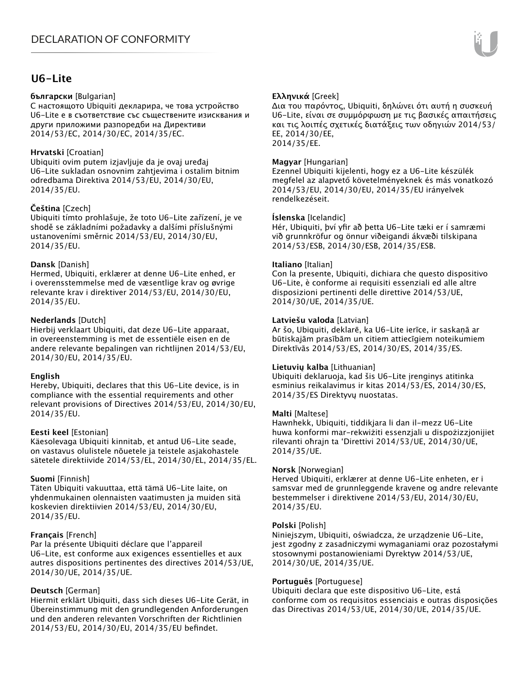## **U6-Lite**

#### **български** [Bulgarian]

С настоящото Ubiquiti декларира, че това устройство U6-Lite е в съответствие със съществените изисквания и други приложими разпоредби на Директиви 2014/53/EC, 2014/30/ЕС, 2014/35/ЕС.

#### **Hrvatski** [Croatian]

Ubiquiti ovim putem izjavljuje da je ovaj uređaj U6-Lite sukladan osnovnim zahtjevima i ostalim bitnim odredbama Direktiva 2014/53/EU, 2014/30/EU, 2014/35/EU.

### **Čeština** [Czech]

Ubiquiti tímto prohlašuje, že toto U6-Lite zařízení, je ve shodě se základními požadavky a dalšími příslušnými ustanoveními směrnic 2014/53/EU, 2014/30/EU, 2014/35/EU.

#### **Dansk** [Danish]

Hermed, Ubiquiti, erklærer at denne U6-Lite enhed, er i overensstemmelse med de væsentlige krav og øvrige relevante krav i direktiver 2014/53/EU, 2014/30/EU, 2014/35/EU.

### **Nederlands** [Dutch]

Hierbij verklaart Ubiquiti, dat deze U6-Lite apparaat, in overeenstemming is met de essentiële eisen en de andere relevante bepalingen van richtlijnen 2014/53/EU, 2014/30/EU, 2014/35/EU.

#### **English**

Hereby, Ubiquiti, declares that this U6-Lite device, is in compliance with the essential requirements and other relevant provisions of Directives 2014/53/EU, 2014/30/EU, 2014/35/EU.

#### **Eesti keel** [Estonian]

Käesolevaga Ubiquiti kinnitab, et antud U6-Lite seade, on vastavus olulistele nõuetele ja teistele asjakohastele sätetele direktiivide 2014/53/EL, 2014/30/EL, 2014/35/EL.

## **Suomi** [Finnish]

Täten Ubiquiti vakuuttaa, että tämä U6-Lite laite, on yhdenmukainen olennaisten vaatimusten ja muiden sitä koskevien direktiivien 2014/53/EU, 2014/30/EU, 2014/35/EU.

## **Français** [French]

Par la présente Ubiquiti déclare que l'appareil U6-Lite, est conforme aux exigences essentielles et aux autres dispositions pertinentes des directives 2014/53/UE, 2014/30/UE, 2014/35/UE.

## **Deutsch** [German]

Hiermit erklärt Ubiquiti, dass sich dieses U6-Lite Gerät, in Übereinstimmung mit den grundlegenden Anforderungen und den anderen relevanten Vorschriften der Richtlinien 2014/53/EU, 2014/30/EU, 2014/35/EU befindet.

## **Ελληνικά** [Greek]

Δια του παρόντος, Ubiquiti, δηλώνει ότι αυτή η συσκευή U6-Lite, είναι σε συμμόρφωση με τις βασικές απαιτήσεις και τις λοιπές σχετικές διατάξεις των οδηγιών 2014/53/ EE, 2014/30/EE, 2014/35/EE.

#### **Magyar** [Hungarian]

Ezennel Ubiquiti kijelenti, hogy ez a U6-Lite készülék megfelel az alapvető követelményeknek és más vonatkozó 2014/53/EU, 2014/30/EU, 2014/35/EU irányelvek rendelkezéseit.

#### **Íslenska** [Icelandic]

Hér, Ubiquiti, því yfir að þetta U6-Lite tæki er í samræmi við grunnkröfur og önnur viðeigandi ákvæði tilskipana 2014/53/ESB, 2014/30/ESB, 2014/35/ESB.

#### **Italiano** [Italian]

Con la presente, Ubiquiti, dichiara che questo dispositivo U6-Lite, è conforme ai requisiti essenziali ed alle altre disposizioni pertinenti delle direttive 2014/53/UE, 2014/30/UE, 2014/35/UE.

#### **Latviešu valoda** [Latvian]

Ar šo, Ubiquiti, deklarē, ka U6-Lite ierīce, ir saskaņā ar būtiskajām prasībām un citiem attiecīgiem noteikumiem Direktīvās 2014/53/ES, 2014/30/ES, 2014/35/ES.

#### **Lietuvių kalba** [Lithuanian]

Ubiquiti deklaruoja, kad šis U6-Lite įrenginys atitinka esminius reikalavimus ir kitas 2014/53/ES, 2014/30/ES, 2014/35/ES Direktyvų nuostatas.

#### **Malti** [Maltese]

Hawnhekk, Ubiquiti, tiddikjara li dan il-mezz U6-Lite huwa konformi mar-rekwiżiti essenzjali u dispożizzjonijiet rilevanti oħrajn ta 'Direttivi 2014/53/UE, 2014/30/UE, 2014/35/UE.

#### **Norsk** [Norwegian]

Herved Ubiquiti, erklærer at denne U6-Lite enheten, er i samsvar med de grunnleggende kravene og andre relevante bestemmelser i direktivene 2014/53/EU, 2014/30/EU, 2014/35/EU.

#### **Polski** [Polish]

Niniejszym, Ubiquiti, oświadcza, że urządzenie U6-Lite, jest zgodny z zasadniczymi wymaganiami oraz pozostałymi stosownymi postanowieniami Dyrektyw 2014/53/UE, 2014/30/UE, 2014/35/UE.

#### **Português** [Portuguese]

Ubiquiti declara que este dispositivo U6-Lite, está conforme com os requisitos essenciais e outras disposições das Directivas 2014/53/UE, 2014/30/UE, 2014/35/UE.

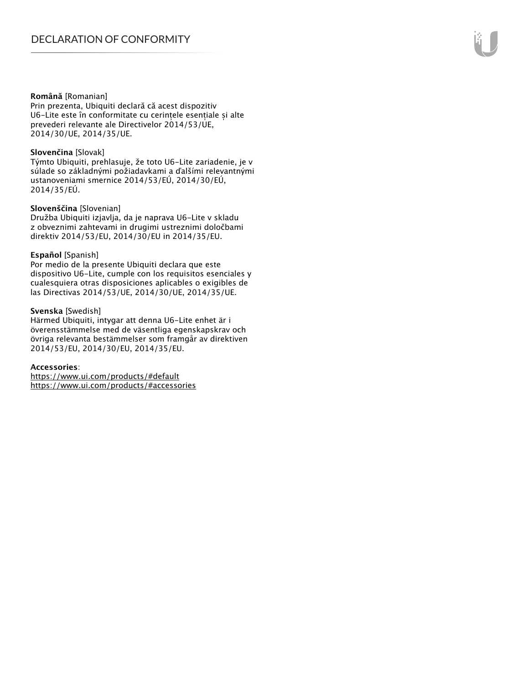#### **Română** [Romanian]

Prin prezenta, Ubiquiti declară că acest dispozitiv U6-Lite este în conformitate cu cerințele esențiale și alte prevederi relevante ale Directivelor 2014/53/UE, 2014/30/UE, 2014/35/UE.

#### **Slovenčina** [Slovak]

Týmto Ubiquiti, prehlasuje, že toto U6-Lite zariadenie, je v súlade so základnými požiadavkami a ďalšími relevantnými ustanoveniami smernice 2014/53/EÚ, 2014/30/EÚ, 2014/35/EÚ.

#### **Slovenščina** [Slovenian]

Družba Ubiquiti izjavlja, da je naprava U6-Lite v skladu z obveznimi zahtevami in drugimi ustreznimi določbami direktiv 2014/53/EU, 2014/30/EU in 2014/35/EU.

#### **Español** [Spanish]

Por medio de la presente Ubiquiti declara que este dispositivo U6-Lite, cumple con los requisitos esenciales y cualesquiera otras disposiciones aplicables o exigibles de las Directivas 2014/53/UE, 2014/30/UE, 2014/35/UE.

#### **Svenska** [Swedish]

Härmed Ubiquiti, intygar att denna U6-Lite enhet är i överensstämmelse med de väsentliga egenskapskrav och övriga relevanta bestämmelser som framgår av direktiven 2014/53/EU, 2014/30/EU, 2014/35/EU.

#### **Accessories**:

https://www.ui.com/products/#default https://www.ui.com/products/#accessories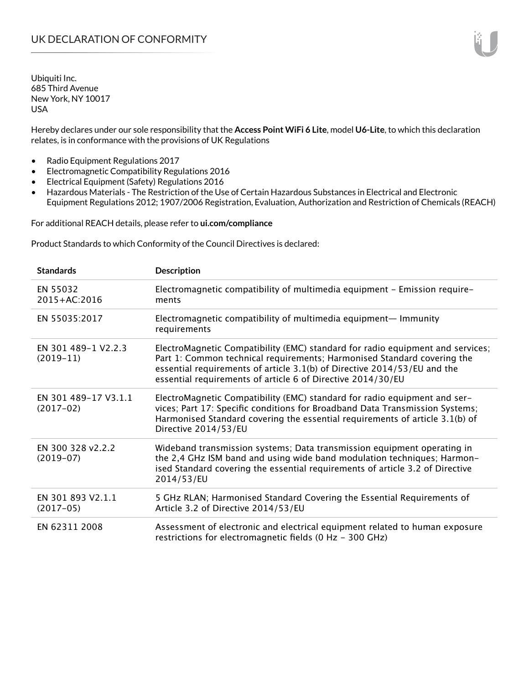Hereby declares under our sole responsibility that the **Access Point WiFi 6 Lite**, model **U6-Lite**, to which this declaration relates, is in conformance with the provisions of UK Regulations

- Radio Equipment Regulations 2017
- Electromagnetic Compatibility Regulations 2016
- Electrical Equipment (Safety) Regulations 2016
- Hazardous Materials The Restriction of the Use of Certain Hazardous Substances in Electrical and Electronic Equipment Regulations 2012; 1907/2006 Registration, Evaluation, Authorization and Restriction of Chemicals (REACH)

For additional REACH details, please refer to **ui.com/compliance**

Product Standards to which Conformity of the Council Directives is declared:

| <b>Standards</b>                    | <b>Description</b>                                                                                                                                                                                                                                                                                   |
|-------------------------------------|------------------------------------------------------------------------------------------------------------------------------------------------------------------------------------------------------------------------------------------------------------------------------------------------------|
| EN 55032<br>$2015 + AC:2016$        | Electromagnetic compatibility of multimedia equipment - Emission require-<br>ments                                                                                                                                                                                                                   |
| EN 55035:2017                       | Electromagnetic compatibility of multimedia equipment- Immunity<br>requirements                                                                                                                                                                                                                      |
| EN 301 489-1 V2.2.3<br>$(2019-11)$  | ElectroMagnetic Compatibility (EMC) standard for radio equipment and services;<br>Part 1: Common technical requirements; Harmonised Standard covering the<br>essential requirements of article 3.1(b) of Directive 2014/53/EU and the<br>essential requirements of article 6 of Directive 2014/30/EU |
| EN 301 489-17 V3.1.1<br>$(2017-02)$ | ElectroMagnetic Compatibility (EMC) standard for radio equipment and ser-<br>vices; Part 17: Specific conditions for Broadband Data Transmission Systems;<br>Harmonised Standard covering the essential requirements of article 3.1(b) of<br>Directive 2014/53/EU                                    |
| EN 300 328 v2.2.2<br>$(2019-07)$    | Wideband transmission systems; Data transmission equipment operating in<br>the 2,4 GHz ISM band and using wide band modulation techniques; Harmon-<br>ised Standard covering the essential requirements of article 3.2 of Directive<br>2014/53/EU                                                    |
| EN 301 893 V2.1.1<br>$(2017-05)$    | 5 GHz RLAN; Harmonised Standard Covering the Essential Requirements of<br>Article 3.2 of Directive 2014/53/EU                                                                                                                                                                                        |
| EN 62311 2008                       | Assessment of electronic and electrical equipment related to human exposure<br>restrictions for electromagnetic fields (0 Hz - 300 GHz)                                                                                                                                                              |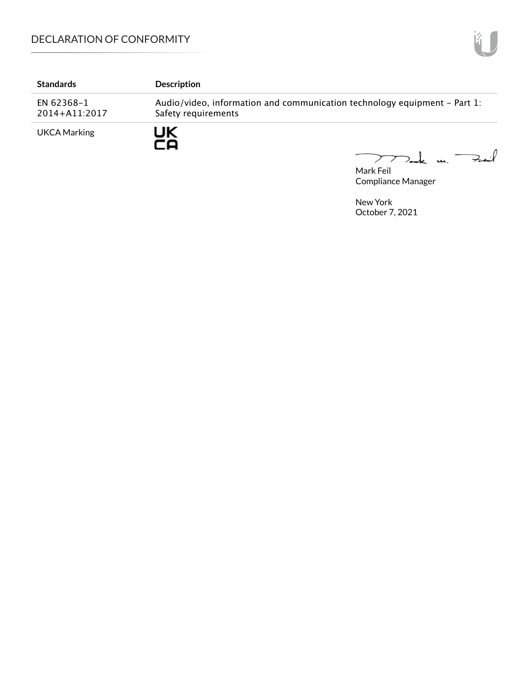# DECLARATION OF CONFORMITY

| <b>Standards</b>            | <b>Description</b>                                                                               |
|-----------------------------|--------------------------------------------------------------------------------------------------|
| EN 62368-1<br>2014+A11:2017 | Audio/video, information and communication technology equipment – Part 1:<br>Safety requirements |
| <b>UKCA Marking</b>         | JK                                                                                               |

Mak m. Fail  $\overline{\phantom{0}}$ 

Mark Feil Compliance Manager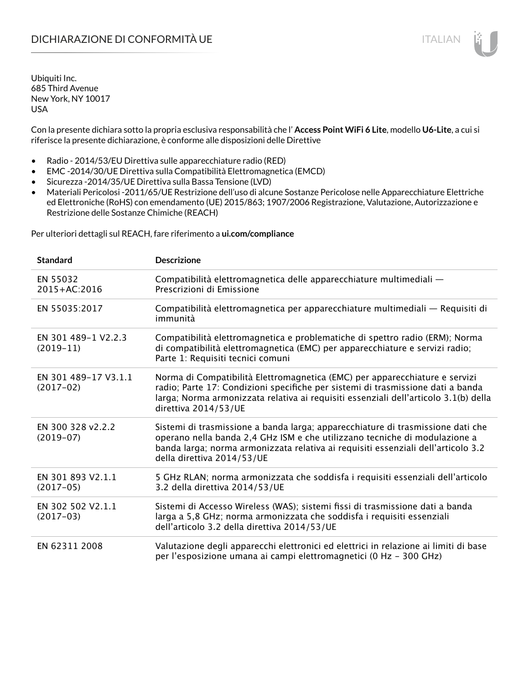Con la presente dichiara sotto la propria esclusiva responsabilità che l' **Access Point WiFi 6 Lite**, modello **U6-Lite**, a cui si riferisce la presente dichiarazione, è conforme alle disposizioni delle Direttive

- Radio 2014/53/EU Direttiva sulle apparecchiature radio (RED)
- EMC -2014/30/UE Direttiva sulla Compatibilità Elettromagnetica (EMCD)
- Sicurezza -2014/35/UE Direttiva sulla Bassa Tensione (LVD)
- Materiali Pericolosi -2011/65/UE Restrizione dell'uso di alcune Sostanze Pericolose nelle Apparecchiature Elettriche ed Elettroniche (RoHS) con emendamento (UE) 2015/863; 1907/2006 Registrazione, Valutazione, Autorizzazione e Restrizione delle Sostanze Chimiche (REACH)

Per ulteriori dettagli sul REACH, fare riferimento a **ui.com/compliance**

| <b>Standard</b>                     | <b>Descrizione</b>                                                                                                                                                                                                                                                               |
|-------------------------------------|----------------------------------------------------------------------------------------------------------------------------------------------------------------------------------------------------------------------------------------------------------------------------------|
| EN 55032<br>$2015 + AC:2016$        | Compatibilità elettromagnetica delle apparecchiature multimediali -<br>Prescrizioni di Emissione                                                                                                                                                                                 |
| EN 55035:2017                       | Compatibilità elettromagnetica per apparecchiature multimediali — Requisiti di<br>immunità                                                                                                                                                                                       |
| EN 301 489-1 V2.2.3<br>$(2019-11)$  | Compatibilità elettromagnetica e problematiche di spettro radio (ERM); Norma<br>di compatibilità elettromagnetica (EMC) per apparecchiature e servizi radio;<br>Parte 1: Requisiti tecnici comuni                                                                                |
| EN 301 489-17 V3.1.1<br>$(2017-02)$ | Norma di Compatibilità Elettromagnetica (EMC) per apparecchiature e servizi<br>radio; Parte 17: Condizioni specifiche per sistemi di trasmissione dati a banda<br>larga; Norma armonizzata relativa ai requisiti essenziali dell'articolo 3.1(b) della<br>direttiva 2014/53/UE   |
| EN 300 328 v2.2.2<br>$(2019-07)$    | Sistemi di trasmissione a banda larga; apparecchiature di trasmissione dati che<br>operano nella banda 2,4 GHz ISM e che utilizzano tecniche di modulazione a<br>banda larga; norma armonizzata relativa ai requisiti essenziali dell'articolo 3.2<br>della direttiva 2014/53/UE |
| EN 301 893 V2.1.1<br>$(2017-05)$    | 5 GHz RLAN; norma armonizzata che soddisfa i requisiti essenziali dell'articolo<br>3.2 della direttiva 2014/53/UE                                                                                                                                                                |
| EN 302 502 V2.1.1<br>$(2017-03)$    | Sistemi di Accesso Wireless (WAS); sistemi fissi di trasmissione dati a banda<br>larga a 5,8 GHz; norma armonizzata che soddisfa i requisiti essenziali<br>dell'articolo 3.2 della direttiva 2014/53/UE                                                                          |
| EN 62311 2008                       | Valutazione degli apparecchi elettronici ed elettrici in relazione ai limiti di base<br>per l'esposizione umana ai campi elettromagnetici (0 Hz - 300 GHz)                                                                                                                       |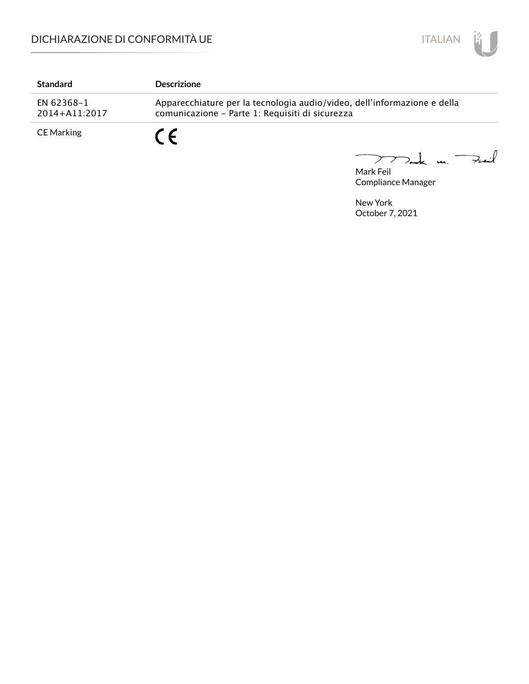

| <b>Standard</b>             | <b>Descrizione</b>                                                                                                          |
|-----------------------------|-----------------------------------------------------------------------------------------------------------------------------|
| EN 62368-1<br>2014+A11:2017 | Apparecchiature per la tecnologia audio/video, dell'informazione e della<br>comunicazione - Parte 1: Requisiti di sicurezza |
| CE Marking                  | r C                                                                                                                         |

Mark Feil u. <del>Zuil</del>  $\overbrace{\phantom{aaaaa}}$ 

Compliance Manager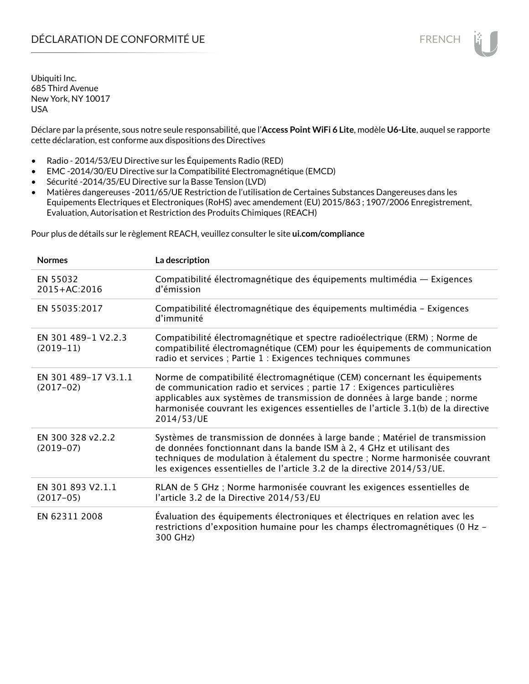# DÉCLARATION DE CONFORMITÉ UE FRENCH

Ubiquiti Inc. 685 Third Avenue New York, NY 10017 USA

Déclare par la présente, sous notre seule responsabilité, que l'**Access Point WiFi 6 Lite**, modèle **U6-Lite**, auquel se rapporte cette déclaration, est conforme aux dispositions des Directives

- Radio 2014/53/EU Directive sur les Équipements Radio (RED)
- EMC -2014/30/EU Directive sur la Compatibilité Electromagnétique (EMCD)
- Sécurité -2014/35/EU Directive sur la Basse Tension (LVD)
- Matières dangereuses -2011/65/UE Restriction de l'utilisation de Certaines Substances Dangereuses dans les Equipements Electriques et Electroniques (RoHS) avec amendement (EU) 2015/863 ; 1907/2006 Enregistrement, Evaluation, Autorisation et Restriction des Produits Chimiques (REACH)

Pour plus de détails sur le règlement REACH, veuillez consulter le site **ui.com/compliance**

| <b>Normes</b>                       | La description                                                                                                                                                                                                                                                                                                                         |
|-------------------------------------|----------------------------------------------------------------------------------------------------------------------------------------------------------------------------------------------------------------------------------------------------------------------------------------------------------------------------------------|
| EN 55032<br>2015+AC:2016            | Compatibilité électromagnétique des équipements multimédia — Exigences<br>d'émission                                                                                                                                                                                                                                                   |
| EN 55035:2017                       | Compatibilité électromagnétique des équipements multimédia - Exigences<br>d'immunité                                                                                                                                                                                                                                                   |
| EN 301 489-1 V2.2.3<br>$(2019-11)$  | Compatibilité électromagnétique et spectre radioélectrique (ERM) ; Norme de<br>compatibilité électromagnétique (CEM) pour les équipements de communication<br>radio et services ; Partie 1 : Exigences techniques communes                                                                                                             |
| EN 301 489-17 V3.1.1<br>$(2017-02)$ | Norme de compatibilité électromagnétique (CEM) concernant les équipements<br>de communication radio et services ; partie 17 : Exigences particulières<br>applicables aux systèmes de transmission de données à large bande ; norme<br>harmonisée couvrant les exigences essentielles de l'article 3.1(b) de la directive<br>2014/53/UE |
| EN 300 328 v2.2.2<br>$(2019-07)$    | Systèmes de transmission de données à large bande ; Matériel de transmission<br>de données fonctionnant dans la bande ISM à 2, 4 GHz et utilisant des<br>techniques de modulation à étalement du spectre ; Norme harmonisée couvrant<br>les exigences essentielles de l'article 3.2 de la directive 2014/53/UE.                        |
| EN 301 893 V2.1.1<br>$(2017-05)$    | RLAN de 5 GHz ; Norme harmonisée couvrant les exigences essentielles de<br>l'article 3.2 de la Directive 2014/53/EU                                                                                                                                                                                                                    |
| EN 62311 2008                       | Évaluation des équipements électroniques et électriques en relation avec les<br>restrictions d'exposition humaine pour les champs électromagnétiques (0 Hz -<br>300 GHz)                                                                                                                                                               |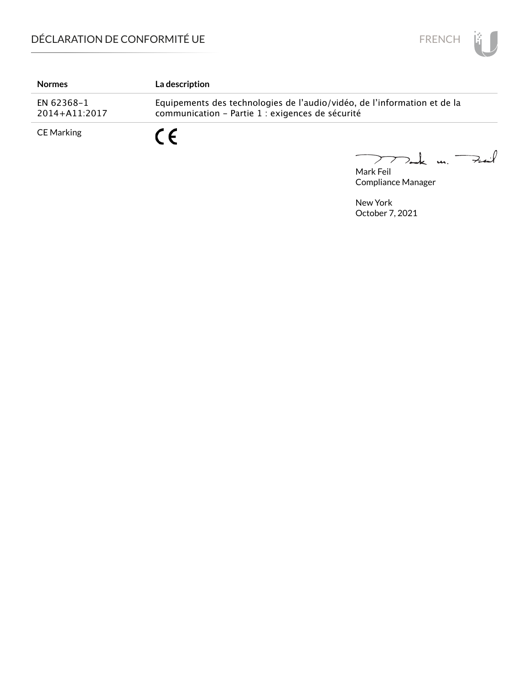

| <b>Normes</b>               | <b>La description</b>                                                                                                        |
|-----------------------------|------------------------------------------------------------------------------------------------------------------------------|
| EN 62368-1<br>2014+A11:2017 | Equipements des technologies de l'audio/vidéo, de l'information et de la<br>communication - Partie 1 : exigences de sécurité |
| CE Marking                  |                                                                                                                              |

Mark Feil<br>Mark Feil 

Compliance Manager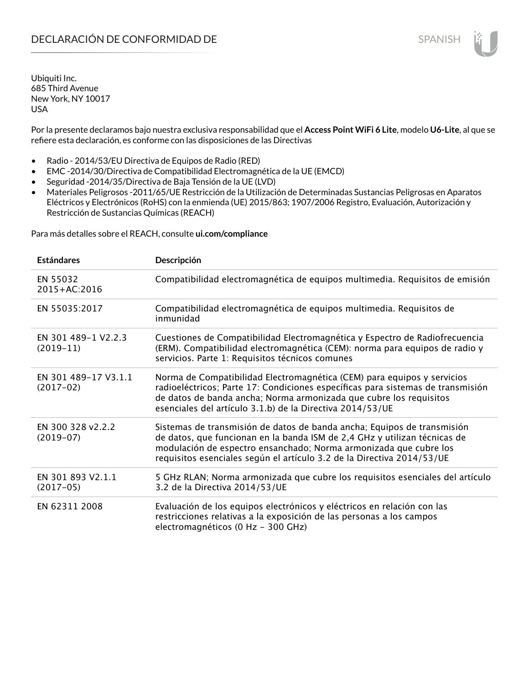Por la presente declaramos bajo nuestra exclusiva responsabilidad que el **Access Point WiFi 6 Lite**, modelo **U6-Lite**, al que se refiere esta declaración, es conforme con las disposiciones de las Directivas

- Radio 2014/53/EU Directiva de Equipos de Radio (RED)
- EMC -2014/30/Directiva de Compatibilidad Electromagnética de la UE (EMCD)
- Seguridad -2014/35/Directiva de Baja Tensión de la UE (LVD)
- Materiales Peligrosos -2011/65/UE Restricción de la Utilización de Determinadas Sustancias Peligrosas en Aparatos Eléctricos y Electrónicos (RoHS) con la enmienda (UE) 2015/863; 1907/2006 Registro, Evaluación, Autorización y Restricción de Sustancias Químicas (REACH)

Para más detalles sobre el REACH, consulte **ui.com/compliance**

| <b>Estándares</b>                   | Descripción                                                                                                                                                                                                                                                                                         |
|-------------------------------------|-----------------------------------------------------------------------------------------------------------------------------------------------------------------------------------------------------------------------------------------------------------------------------------------------------|
| EN 55032<br>2015+AC:2016            | Compatibilidad electromagnética de equipos multimedia. Requisitos de emisión                                                                                                                                                                                                                        |
| EN 55035:2017                       | Compatibilidad electromagnética de equipos multimedia. Requisitos de<br>inmunidad                                                                                                                                                                                                                   |
| EN 301 489-1 V2.2.3<br>$(2019-11)$  | Cuestiones de Compatibilidad Electromagnética y Espectro de Radiofrecuencia<br>(ERM). Compatibilidad electromagnética (CEM): norma para equipos de radio y<br>servicios. Parte 1: Requisitos técnicos comunes                                                                                       |
| EN 301 489-17 V3.1.1<br>$(2017-02)$ | Norma de Compatibilidad Electromagnética (CEM) para equipos y servicios<br>radioeléctricos; Parte 17: Condiciones específicas para sistemas de transmisión<br>de datos de banda ancha; Norma armonizada que cubre los requisitos<br>esenciales del artículo 3.1.b) de la Directiva 2014/53/UE       |
| EN 300 328 v2.2.2<br>$(2019-07)$    | Sistemas de transmisión de datos de banda ancha; Equipos de transmisión<br>de datos, que funcionan en la banda ISM de 2,4 GHz y utilizan técnicas de<br>modulación de espectro ensanchado; Norma armonizada que cubre los<br>requisitos esenciales según el artículo 3.2 de la Directiva 2014/53/UE |
| EN 301 893 V2.1.1<br>$(2017-05)$    | 5 GHz RLAN; Norma armonizada que cubre los requisitos esenciales del artículo<br>3.2 de la Directiva 2014/53/UE                                                                                                                                                                                     |
| EN 62311 2008                       | Evaluación de los equipos electrónicos y eléctricos en relación con las<br>restricciones relativas a la exposición de las personas a los campos<br>electromagnéticos (0 Hz - 300 GHz)                                                                                                               |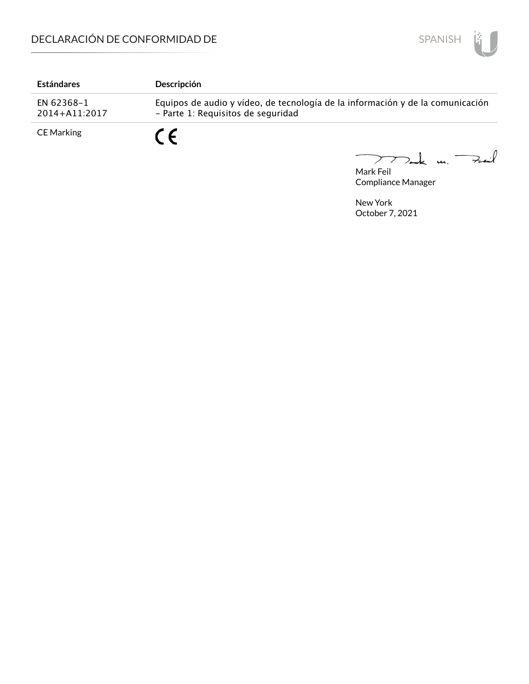

| <b>Estándares</b>           | <b>Descripción</b>                                                                                                   |
|-----------------------------|----------------------------------------------------------------------------------------------------------------------|
| EN 62368-1<br>2014+A11:2017 | Equipos de audio y vídeo, de tecnología de la información y de la comunicación<br>- Parte 1: Requisitos de seguridad |
| <b>CE Marking</b>           | $\epsilon$                                                                                                           |

Mark Feil u. <del>Zuil</del>  $\overline{\phantom{m}}$ 

Compliance Manager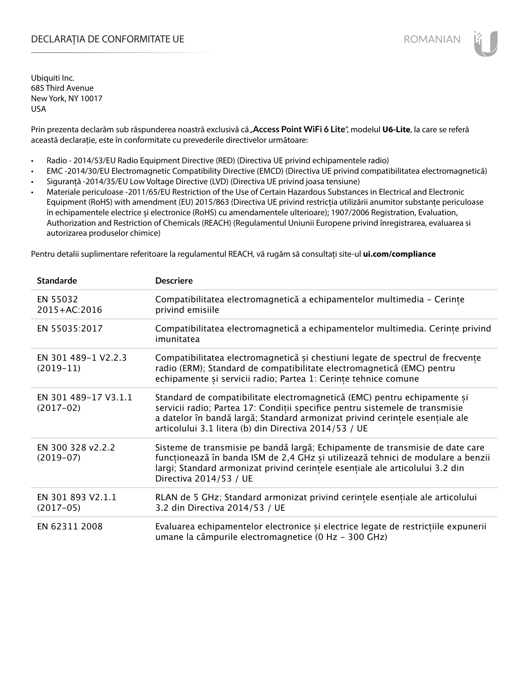## DECLARAȚIA DE CONFORMITATE UE EXECUTE DE ROMANIAN

Ubiquiti Inc. 685 Third Avenue New York, NY 10017 USA

Prin prezenta declarăm sub răspunderea noastră exclusivă că "Access Point WiFi 6 Lite", modelul U6-Lite, la care se referă această declarație, este în conformitate cu prevederile directivelor următoare:

- Radio 2014/53/EU Radio Equipment Directive (RED) (Directiva UE privind echipamentele radio)
- EMC -2014/30/EU Electromagnetic Compatibility Directive (EMCD) (Directiva UE privind compatibilitatea electromagnetică)
- Siguranță -2014/35/EU Low Voltage Directive (LVD) (Directiva UE privind joasa tensiune)
- Materiale periculoase -2011/65/EU Restriction of the Use of Certain Hazardous Substances in Electrical and Electronic Equipment (RoHS) with amendment (EU) 2015/863 (Directiva UE privind restricția utilizării anumitor substanțe periculoase în echipamentele electrice și electronice (RoHS) cu amendamentele ulterioare); 1907/2006 Registration, Evaluation, Authorization and Restriction of Chemicals (REACH) (Regulamentul Uniunii Europene privind înregistrarea, evaluarea si autorizarea produselor chimice)

Pentru detalii suplimentare referitoare la regulamentul REACH, vă rugăm să consultați site-ul **ui.com/compliance**

| <b>Standarde</b>                    | <b>Descriere</b>                                                                                                                                                                                                                                                                                  |
|-------------------------------------|---------------------------------------------------------------------------------------------------------------------------------------------------------------------------------------------------------------------------------------------------------------------------------------------------|
| EN 55032<br>2015+AC:2016            | Compatibilitatea electromagnetică a echipamentelor multimedia - Cerințe<br>privind emisiile                                                                                                                                                                                                       |
| EN 55035:2017                       | Compatibilitatea electromagnetică a echipamentelor multimedia. Cerințe privind<br>imunitatea                                                                                                                                                                                                      |
| EN 301 489-1 V2.2.3<br>$(2019-11)$  | Compatibilitatea electromagnetică și chestiuni legate de spectrul de frecvențe<br>radio (ERM); Standard de compatibilitate electromagnetică (EMC) pentru<br>echipamente și servicii radio; Partea 1: Cerințe tehnice comune                                                                       |
| EN 301 489-17 V3.1.1<br>$(2017-02)$ | Standard de compatibilitate electromagnetică (EMC) pentru echipamente și<br>servicii radio; Partea 17: Condiții specifice pentru sistemele de transmisie<br>a datelor în bandă largă; Standard armonizat privind cerințele esențiale ale<br>articolului 3.1 litera (b) din Directiva 2014/53 / UE |
| EN 300 328 v2.2.2<br>$(2019-07)$    | Sisteme de transmisie pe bandă largă; Echipamente de transmisie de date care<br>funcționează în banda ISM de 2,4 GHz și utilizează tehnici de modulare a benzii<br>largi; Standard armonizat privind cerintele esentiale ale articolului 3.2 din<br>Directiva 2014/53 / UE                        |
| EN 301 893 V2.1.1<br>$(2017-05)$    | RLAN de 5 GHz; Standard armonizat privind cerințele esențiale ale articolului<br>3.2 din Directiva 2014/53 / UE                                                                                                                                                                                   |
| EN 62311 2008                       | Evaluarea echipamentelor electronice și electrice legate de restricțiile expunerii<br>umane la câmpurile electromagnetice (0 Hz - 300 GHz)                                                                                                                                                        |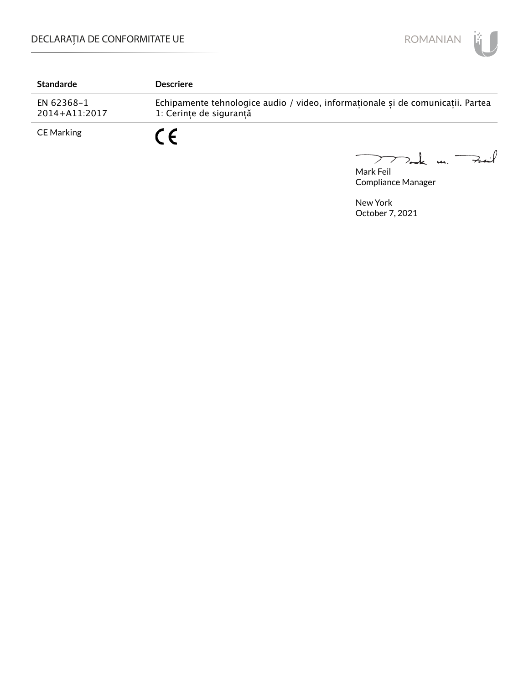

| <b>Standarde</b>            | <b>Descriere</b>                                                                                           |
|-----------------------------|------------------------------------------------------------------------------------------------------------|
| EN 62368-1<br>2014+A11:2017 | Echipamente tehnologice audio / video, informaționale și de comunicații. Partea<br>1: Cerințe de siguranță |
| CE Marking                  | $\sim$ $\epsilon$                                                                                          |

Mark Feil u. <del>Zuil</del> 

Compliance Manager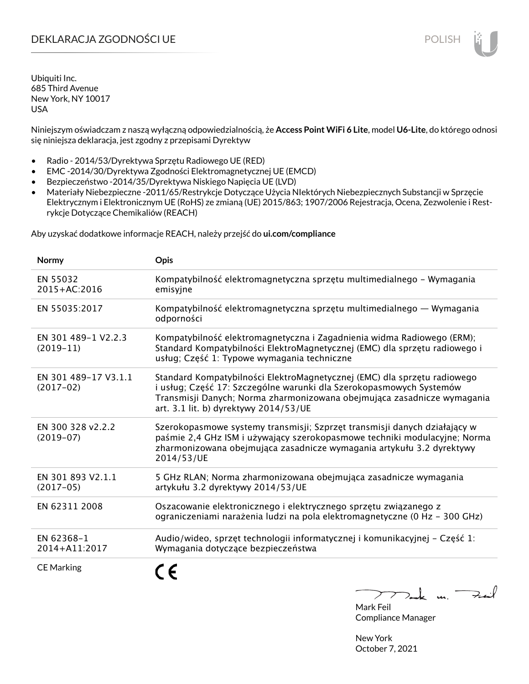# DEKLARACJA ZGODNOŚCI UE POLISH POLISH

Ubiquiti Inc. 685 Third Avenue New York, NY 10017 USA

Niniejszym oświadczam z naszą wyłączną odpowiedzialnością, że **Access Point WiFi 6 Lite**, model **U6-Lite**, do którego odnosi się niniejsza deklaracja, jest zgodny z przepisami Dyrektyw

- Radio 2014/53/Dyrektywa Sprzętu Radiowego UE (RED)
- EMC -2014/30/Dyrektywa Zgodności Elektromagnetycznej UE (EMCD)
- Bezpieczeństwo -2014/35/Dyrektywa Niskiego Napięcia UE (LVD)
- Materiały Niebezpieczne -2011/65/Restrykcje Dotyczące Użycia NIektórych Niebezpiecznych Substancji w Sprzęcie Elektrycznym i Elektronicznym UE (RoHS) ze zmianą (UE) 2015/863; 1907/2006 Rejestracja, Ocena, Zezwolenie i Restrykcje Dotyczące Chemikaliów (REACH)

Aby uzyskać dodatkowe informacje REACH, należy przejść do **ui.com/compliance**

| Normy                               | Opis                                                                                                                                                                                                                                                                |
|-------------------------------------|---------------------------------------------------------------------------------------------------------------------------------------------------------------------------------------------------------------------------------------------------------------------|
| EN 55032<br>2015+AC:2016            | Kompatybilność elektromagnetyczna sprzętu multimedialnego – Wymagania<br>emisyjne                                                                                                                                                                                   |
| EN 55035:2017                       | Kompatybilność elektromagnetyczna sprzętu multimedialnego — Wymagania<br>odporności                                                                                                                                                                                 |
| EN 301 489-1 V2.2.3<br>$(2019-11)$  | Kompatybilność elektromagnetyczna i Zagadnienia widma Radiowego (ERM);<br>Standard Kompatybilności ElektroMagnetycznej (EMC) dla sprzętu radiowego i<br>usług; Część 1: Typowe wymagania techniczne                                                                 |
| EN 301 489-17 V3.1.1<br>$(2017-02)$ | Standard Kompatybilności ElektroMagnetycznej (EMC) dla sprzętu radiowego<br>i usług; Część 17: Szczególne warunki dla Szerokopasmowych Systemów<br>Transmisji Danych; Norma zharmonizowana obejmująca zasadnicze wymagania<br>art. 3.1 lit. b) dyrektywy 2014/53/UE |
| EN 300 328 v2.2.2<br>$(2019-07)$    | Szerokopasmowe systemy transmisji; Szprzęt transmisji danych działający w<br>paśmie 2,4 GHz ISM i używający szerokopasmowe techniki modulacyjne; Norma<br>zharmonizowana obejmująca zasadnicze wymagania artykułu 3.2 dyrektywy<br>2014/53/UE                       |
| EN 301 893 V2.1.1<br>$(2017-05)$    | 5 GHz RLAN; Norma zharmonizowana obejmująca zasadnicze wymagania<br>artykułu 3.2 dyrektywy 2014/53/UE                                                                                                                                                               |
| EN 62311 2008                       | Oszacowanie elektronicznego i elektrycznego sprzętu związanego z<br>ograniczeniami narażenia ludzi na pola elektromagnetyczne (0 Hz - 300 GHz)                                                                                                                      |
| EN 62368-1<br>2014+A11:2017         | Audio/wideo, sprzęt technologii informatycznej i komunikacyjnej - Część 1:<br>Wymagania dotyczące bezpieczeństwa                                                                                                                                                    |
| <b>CE Marking</b>                   |                                                                                                                                                                                                                                                                     |

 $k$  un  $\rightarrow$ 

Mark Feil Compliance Manager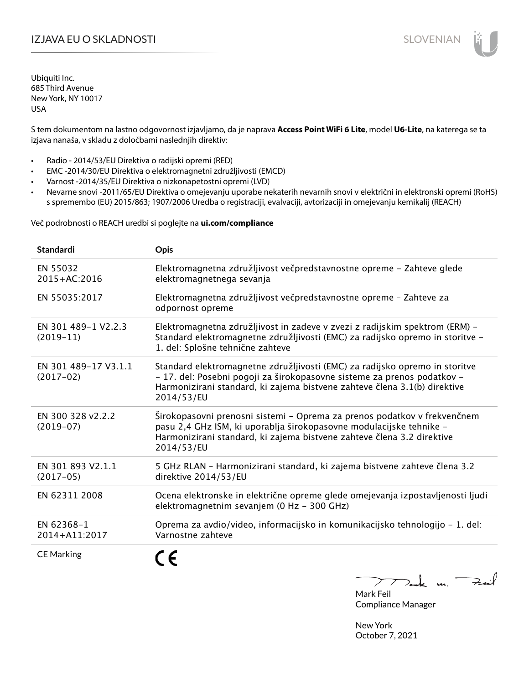# I**ZJAVA EU O SKLADNOSTI** SLOVENIAN

Ubiquiti Inc. 685 Third Avenue New York, NY 10017 USA

S tem dokumentom na lastno odgovornost izjavljamo, da je naprava **Access Point WiFi 6 Lite**, model **U6-Lite**, na katerega se ta izjava nanaša, v skladu z določbami naslednjih direktiv:

- Radio 2014/53/EU Direktiva o radijski opremi (RED)
- EMC -2014/30/EU Direktiva o elektromagnetni združljivosti (EMCD)
- Varnost -2014/35/EU Direktiva o nizkonapetostni opremi (LVD)
- Nevarne snovi -2011/65/EU Direktiva o omejevanju uporabe nekaterih nevarnih snovi v električni in elektronski opremi (RoHS) s spremembo (EU) 2015/863; 1907/2006 Uredba o registraciji, evalvaciji, avtorizaciji in omejevanju kemikalij (REACH)

Več podrobnosti o REACH uredbi si poglejte na **ui.com/compliance**

| <b>Standardi</b>                    | <b>Opis</b>                                                                                                                                                                                                                                       |
|-------------------------------------|---------------------------------------------------------------------------------------------------------------------------------------------------------------------------------------------------------------------------------------------------|
| EN 55032<br>2015+AC:2016            | Elektromagnetna združljivost večpredstavnostne opreme - Zahteve glede<br>elektromagnetnega sevanja                                                                                                                                                |
| EN 55035:2017                       | Elektromagnetna združljivost večpredstavnostne opreme - Zahteve za<br>odpornost opreme                                                                                                                                                            |
| EN 301 489-1 V2.2.3<br>$(2019-11)$  | Elektromagnetna združljivost in zadeve v zvezi z radijskim spektrom (ERM) –<br>Standard elektromagnetne združljivosti (EMC) za radijsko opremo in storitve -<br>1. del: Splošne tehnične zahteve                                                  |
| EN 301 489-17 V3.1.1<br>$(2017-02)$ | Standard elektromagnetne združljivosti (EMC) za radijsko opremo in storitve<br>- 17. del: Posebni pogoji za širokopasovne sisteme za prenos podatkov -<br>Harmonizirani standard, ki zajema bistvene zahteve člena 3.1(b) direktive<br>2014/53/EU |
| EN 300 328 v2.2.2<br>$(2019-07)$    | Širokopasovni prenosni sistemi – Oprema za prenos podatkov v frekvenčnem<br>pasu 2,4 GHz ISM, ki uporablja širokopasovne modulacijske tehnike -<br>Harmonizirani standard, ki zajema bistvene zahteve člena 3.2 direktive<br>2014/53/EU           |
| EN 301 893 V2.1.1<br>$(2017-05)$    | 5 GHz RLAN - Harmonizirani standard, ki zajema bistvene zahteve člena 3.2<br>direktive 2014/53/EU                                                                                                                                                 |
| EN 62311 2008                       | Ocena elektronske in električne opreme glede omejevanja izpostavljenosti ljudi<br>elektromagnetnim sevanjem (0 Hz - 300 GHz)                                                                                                                      |
| EN 62368-1<br>2014+A11:2017         | Oprema za avdio/video, informacijsko in komunikacijsko tehnologijo - 1. del:<br>Varnostne zahteve                                                                                                                                                 |
| <b>CE Marking</b>                   |                                                                                                                                                                                                                                                   |

Tack un Fait  $\triangleright$  $\overline{\phantom{a}}$ 

Mark Feil Compliance Manager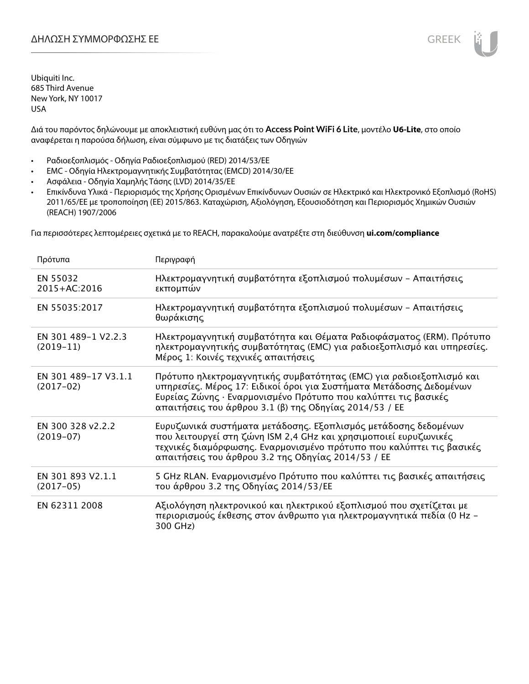Διά του παρόντος δηλώνουμε με αποκλειστική ευθύνη μας ότι το **Access Point WiFi 6 Lite**, μοντέλο **U6-Lite**, στο οποίο αναφέρεται η παρούσα δήλωση, είναι σύμφωνο με τις διατάξεις των Οδηγιών

- Ραδιοεξοπλισμός Οδηγία Ραδιοεξοπλισμού (RED) 2014/53/ΕΕ
- EMC Οδηγία Ηλεκτρομαγνητικής Συμβατότητας (EMCD) 2014/30/ΕΕ
- Ασφάλεια Οδηγία Χαμηλής Τάσης (LVD) 2014/35/ΕΕ
- Επικίνδυνα Υλικά Περιορισμός της Χρήσης Ορισμένων Επικίνδυνων Ουσιών σε Ηλεκτρικό και Ηλεκτρονικό Εξοπλισμό (RoHS) 2011/65/ΕΕ με τροποποίηση (ΕΕ) 2015/863. Καταχώριση, Αξιολόγηση, Εξουσιοδότηση και Περιορισμός Χημικών Ουσιών (REACH) 1907/2006

Για περισσότερες λεπτομέρειες σχετικά με το REACH, παρακαλούμε ανατρέξτε στη διεύθυνση **ui.com/compliance**

| Πρότυπα                             | Περιγραφή                                                                                                                                                                                                                                                              |
|-------------------------------------|------------------------------------------------------------------------------------------------------------------------------------------------------------------------------------------------------------------------------------------------------------------------|
| EN 55032<br>2015+AC:2016            | Ηλεκτρομαγνητική συμβατότητα εξοπλισμού πολυμέσων - Απαιτήσεις<br>εκπομπών                                                                                                                                                                                             |
| EN 55035:2017                       | Ηλεκτρομαγνητική συμβατότητα εξοπλισμού πολυμέσων - Απαιτήσεις<br>θωράκισης                                                                                                                                                                                            |
| EN 301 489-1 V2.2.3<br>$(2019-11)$  | Ηλεκτρομαγνητική συμβατότητα και Θέματα Ραδιοφάσματος (ERM). Πρότυπο<br>ηλεκτρομαγνητικής συμβατότητας (EMC) για ραδιοεξοπλισμό και υπηρεσίες.<br>Μέρος 1: Κοινές τεχνικές απαιτήσεις                                                                                  |
| EN 301 489-17 V3.1.1<br>$(2017-02)$ | Πρότυπο ηλεκτρομαγνητικής συμβατότητας (ΕΜC) για ραδιοεξοπλισμό και<br>υπηρεσίες. Μέρος 17: Ειδικοί όροι για Συστήματα Μετάδοσης Δεδομένων<br>Ευρείας Ζώνης · Εναρμονισμένο Πρότυπο που καλύπτει τις βασικές<br>απαιτήσεις του άρθρου 3.1 (β) της Οδηγίας 2014/53 / ΕΕ |
| EN 300 328 v2.2.2<br>$(2019-07)$    | Ευρυζωνικά συστήματα μετάδοσης. Εξοπλισμός μετάδοσης δεδομένων<br>που λειτουργεί στη ζώνη ISM 2,4 GHz και χρησιμοποιεί ευρυζωνικές<br>τεχνικές διαμόρφωσης. Εναρμονισμένο πρότυπο που καλύπτει τις βασικές<br>απαιτήσεις του άρθρου 3.2 της Οδηγίας 2014/53 / ΕΕ       |
| EN 301 893 V2.1.1<br>$(2017-05)$    | 5 GHz RLAN. Εναρμονισμένο Πρότυπο που καλύπτει τις βασικές απαιτήσεις<br>του άρθρου 3.2 της Οδηγίας 2014/53/ΕΕ                                                                                                                                                         |
| EN 62311 2008                       | Αξιολόγηση ηλεκτρονικού και ηλεκτρικού εξοπλισμού που σχετίζεται με<br>περιορισμούς έκθεσης στον άνθρωπο για ηλεκτρομαγνητικά πεδία (0 Hz –<br>300 GHz)                                                                                                                |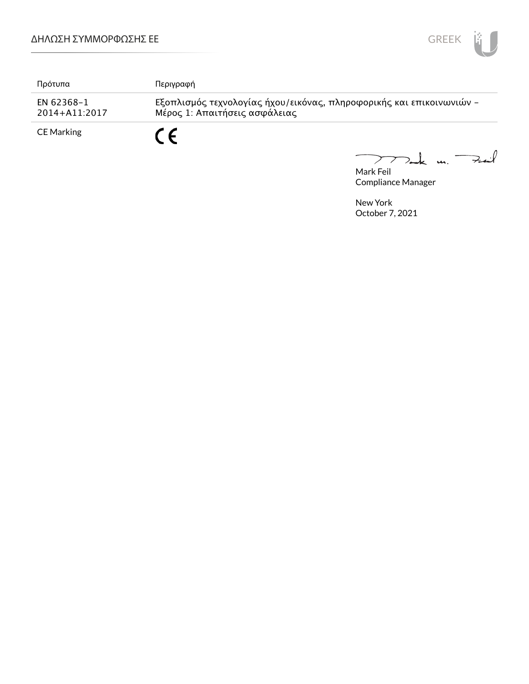

| Πρότυπα                         | Περιγραφή                                                                                             |
|---------------------------------|-------------------------------------------------------------------------------------------------------|
| EN 62368-1<br>$2014 + A11:2017$ | Εξοπλισμός τεχνολογίας ήχου/εικόνας, πληροφορικής και επικοινωνιών -<br>Μέρος 1: Απαιτήσεις ασφάλειας |
| <b>CE Marking</b>               | ΓC.                                                                                                   |

Mark Feil<br>Mark Feil  $\overline{\phantom{0}}$ 

Compliance Manager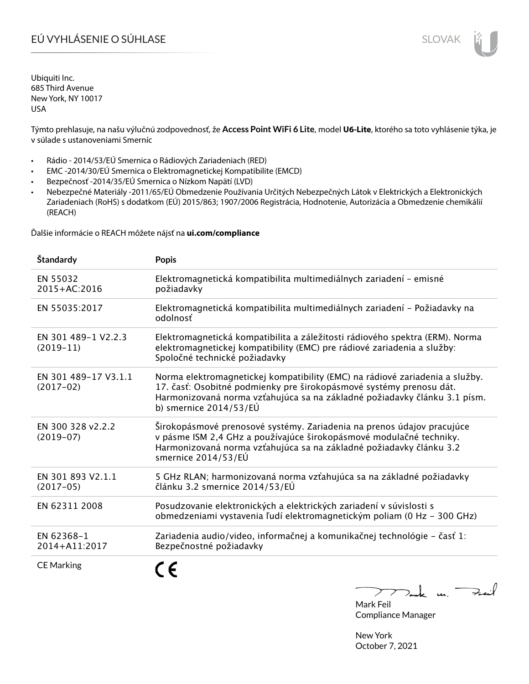# EÚ VYHLÁSENIE O SÚHLASE SLOVAK SLOVAK

Ubiquiti Inc. 685 Third Avenue New York, NY 10017 USA

Týmto prehlasuje, na našu výlučnú zodpovednosť, že **Access Point WiFi 6 Lite**, model **U6-Lite**, ktorého sa toto vyhlásenie týka, je v súlade s ustanoveniami Smerníc

- Rádio 2014/53/EÚ Smernica o Rádiových Zariadeniach (RED)
- EMC -2014/30/EÚ Smernica o Elektromagnetickej Kompatibilite (EMCD)
- Bezpečnosť -2014/35/EÚ Smernica o Nízkom Napätí (LVD)
- Nebezpečné Materiály -2011/65/EÚ Obmedzenie Používania Určitých Nebezpečných Látok v Elektrických a Elektronických Zariadeniach (RoHS) s dodatkom (EÚ) 2015/863; 1907/2006 Registrácia, Hodnotenie, Autorizácia a Obmedzenie chemikálií (REACH)

Ďalšie informácie o REACH môžete nájsť na **ui.com/compliance**

| <b>Standardy</b>                    | <b>Popis</b>                                                                                                                                                                                                                                                 |
|-------------------------------------|--------------------------------------------------------------------------------------------------------------------------------------------------------------------------------------------------------------------------------------------------------------|
| EN 55032<br>2015+AC:2016            | Elektromagnetická kompatibilita multimediálnych zariadení – emisné<br>požiadavky                                                                                                                                                                             |
| EN 55035:2017                       | Elektromagnetická kompatibilita multimediálnych zariadení - Požiadavky na<br>odolnosť                                                                                                                                                                        |
| EN 301 489-1 V2.2.3<br>$(2019-11)$  | Elektromagnetická kompatibilita a záležitosti rádiového spektra (ERM). Norma<br>elektromagnetickej kompatibility (EMC) pre rádiové zariadenia a služby:<br>Spoločné technické požiadavky                                                                     |
| EN 301 489-17 V3.1.1<br>$(2017-02)$ | Norma elektromagnetickej kompatibility (EMC) na rádiové zariadenia a služby.<br>17. časť: Osobitné podmienky pre širokopásmové systémy prenosu dát.<br>Harmonizovaná norma vzťahujúca sa na základné požiadavky článku 3.1 písm.<br>b) smernice $2014/53/EU$ |
| EN 300 328 v2.2.2<br>$(2019-07)$    | Širokopásmové prenosové systémy. Zariadenia na prenos údajov pracujúce<br>v pásme ISM 2,4 GHz a používajúce širokopásmové modulačné techniky.<br>Harmonizovaná norma vzťahujúca sa na základné požiadavky článku 3.2<br>smernice 2014/53/EÚ                  |
| EN 301 893 V2.1.1<br>$(2017-05)$    | 5 GHz RLAN; harmonizovaná norma vzťahujúca sa na základné požiadavky<br>článku 3.2 smernice 2014/53/EÚ                                                                                                                                                       |
| EN 62311 2008                       | Posudzovanie elektronických a elektrických zariadení v súvislosti s<br>obmedzeniami vystavenia ľudí elektromagnetickým poliam (0 Hz - 300 GHz)                                                                                                               |
| EN 62368-1<br>2014+A11:2017         | Zariadenia audio/video, informačnej a komunikačnej technológie - časť 1:<br>Bezpečnostné požiadavky                                                                                                                                                          |
| <b>CE Marking</b>                   |                                                                                                                                                                                                                                                              |

 $\geq k$  un  $\rightarrow$ 

Mark Feil Compliance Manager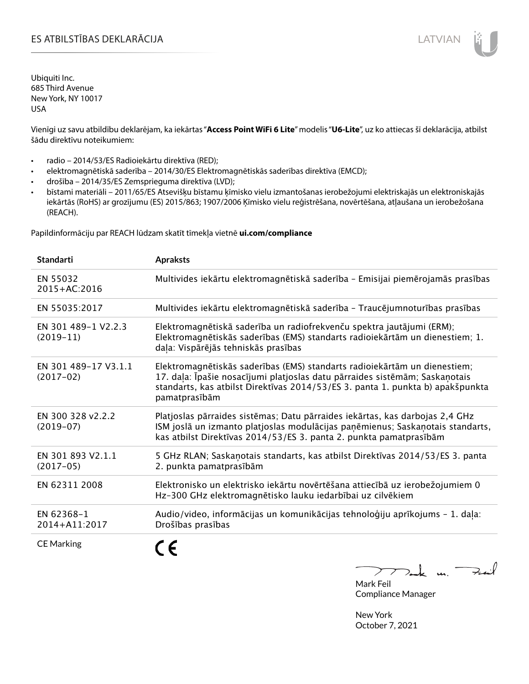## ES ATBILSTĪBAS DEKLARĀCIJA LATVIAN

Ubiquiti Inc. 685 Third Avenue New York, NY 10017 USA

Vienīgi uz savu atbildību deklarējam, ka iekārtas "**Access Point WiFi 6 Lite**" modelis "**U6-Lite**", uz ko attiecas šī deklarācija, atbilst šādu direktīvu noteikumiem:

- radio 2014/53/ES Radioiekārtu direktīva (RED);
- elektromagnētiskā saderība 2014/30/ES Elektromagnētiskās saderības direktīva (EMCD);
- drošība 2014/35/ES Zemsprieguma direktīva (LVD);
- bīstami materiāli 2011/65/ES Atsevišķu bīstamu ķīmisko vielu izmantošanas ierobežojumi elektriskajās un elektroniskajās iekārtās (RoHS) ar grozījumu (ES) 2015/863; 1907/2006 Ķīmisko vielu reģistrēšana, novērtēšana, atļaušana un ierobežošana (REACH).

Papildinformāciju par REACH lūdzam skatīt tīmekļa vietnē **ui.com/compliance**

| <b>Standarti</b>                    | <b>Apraksts</b>                                                                                                                                                                                                                                             |
|-------------------------------------|-------------------------------------------------------------------------------------------------------------------------------------------------------------------------------------------------------------------------------------------------------------|
| EN 55032<br>2015+AC:2016            | Multivides iekārtu elektromagnētiskā saderība - Emisijai piemērojamās prasības                                                                                                                                                                              |
| EN 55035:2017                       | Multivides iekārtu elektromagnētiskā saderība - Traucējumnoturības prasības                                                                                                                                                                                 |
| EN 301 489-1 V2.2.3<br>$(2019-11)$  | Elektromagnētiskā saderība un radiofrekvenču spektra jautājumi (ERM);<br>Elektromagnētiskās saderības (EMS) standarts radioiekārtām un dienestiem; 1.<br>daļa: Vispārējās tehniskās prasības                                                                |
| EN 301 489-17 V3.1.1<br>$(2017-02)$ | Elektromagnētiskās saderības (EMS) standarts radioiekārtām un dienestiem;<br>17. daļa: Īpašie nosacījumi platjoslas datu pārraides sistēmām; Saskaņotais<br>standarts, kas atbilst Direktīvas 2014/53/ES 3. panta 1. punkta b) apakšpunkta<br>pamatprasībām |
| EN 300 328 v2.2.2<br>$(2019-07)$    | Platjoslas pārraides sistēmas; Datu pārraides iekārtas, kas darbojas 2,4 GHz<br>ISM joslā un izmanto platjoslas modulācijas paņēmienus; Saskaņotais standarts,<br>kas atbilst Direktīvas 2014/53/ES 3. panta 2. punkta pamatprasībām                        |
| EN 301 893 V2.1.1<br>$(2017-05)$    | 5 GHz RLAN; Saskaņotais standarts, kas atbilst Direktīvas 2014/53/ES 3. panta<br>2. punkta pamatprasībām                                                                                                                                                    |
| EN 62311 2008                       | Elektronisko un elektrisko iekārtu novērtēšana attiecībā uz ierobežojumiem 0<br>Hz-300 GHz elektromagnētisko lauku iedarbībai uz cilvēkiem                                                                                                                  |
| EN 62368-1<br>2014+A11:2017         | Audio/video, informācijas un komunikācijas tehnoloģiju aprīkojums - 1. daļa:<br>Drošības prasības                                                                                                                                                           |
| <b>CE Marking</b>                   |                                                                                                                                                                                                                                                             |

Tack m. Fail  $\mathcal{F}$ Mark Feil

Compliance Manager